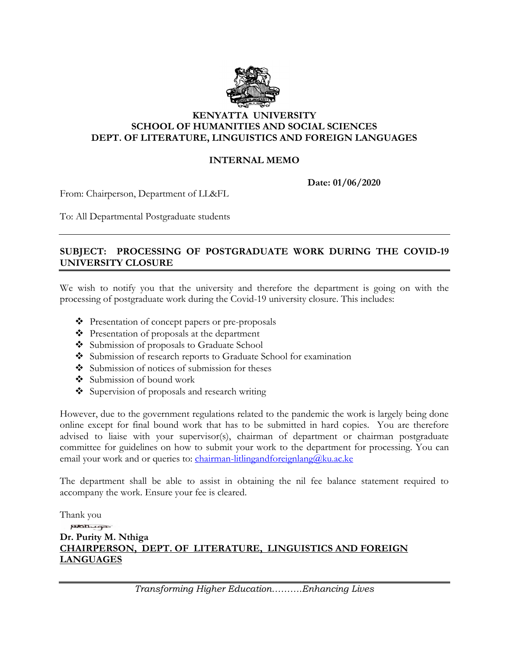

## **KENYATTA UNIVERSITY SCHOOL OF HUMANITIES AND SOCIAL SCIENCES DEPT. OF LITERATURE, LINGUISTICS AND FOREIGN LANGUAGES**

## **INTERNAL MEMO**

**Date: 01/06/2020**

From: Chairperson, Department of LL&FL

To: All Departmental Postgraduate students

## **SUBJECT: PROCESSING OF POSTGRADUATE WORK DURING THE COVID-19 UNIVERSITY CLOSURE**

We wish to notify you that the university and therefore the department is going on with the processing of postgraduate work during the Covid-19 university closure. This includes:

- Presentation of concept papers or pre-proposals
- Presentation of proposals at the department
- Submission of proposals to Graduate School
- Submission of research reports to Graduate School for examination
- $\bullet$  Submission of notices of submission for theses
- Submission of bound work
- Supervision of proposals and research writing

However, due to the government regulations related to the pandemic the work is largely being done online except for final bound work that has to be submitted in hard copies. You are therefore advised to liaise with your supervisor(s), chairman of department or chairman postgraduate committee for guidelines on how to submit your work to the department for processing. You can email your work and or queries to: [chairman-litlingandforeignlang@ku.ac.ke](mailto:chairman-litlingandforeignlang@ku.ac.ke)

The department shall be able to assist in obtaining the nil fee balance statement required to accompany the work. Ensure your fee is cleared.

Thank you

## positive **Dr. Purity M. Nthiga CHAIRPERSON, DEPT. OF LITERATURE, LINGUISTICS AND FOREIGN LANGUAGES**

*Transforming Higher Education……….Enhancing Lives*